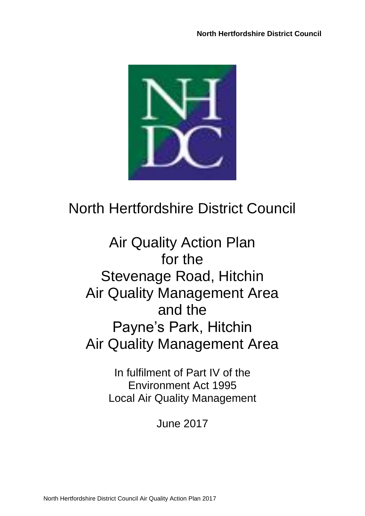

# North Hertfordshire District Council

Air Quality Action Plan for the Stevenage Road, Hitchin Air Quality Management Area and the Payne's Park, Hitchin Air Quality Management Area

> In fulfilment of Part IV of the Environment Act 1995 Local Air Quality Management

> > June 2017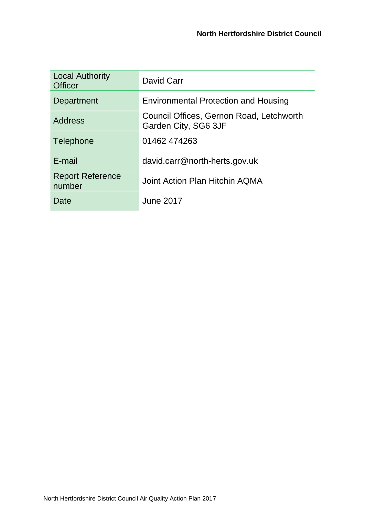| <b>Local Authority</b><br><b>Officer</b> | David Carr                                                       |
|------------------------------------------|------------------------------------------------------------------|
| Department                               | <b>Environmental Protection and Housing</b>                      |
| <b>Address</b>                           | Council Offices, Gernon Road, Letchworth<br>Garden City, SG6 3JF |
| Telephone                                | 01462 474263                                                     |
| E-mail                                   | david.carr@north-herts.gov.uk                                    |
| <b>Report Reference</b><br>number        | Joint Action Plan Hitchin AQMA                                   |
| Date                                     | <b>June 2017</b>                                                 |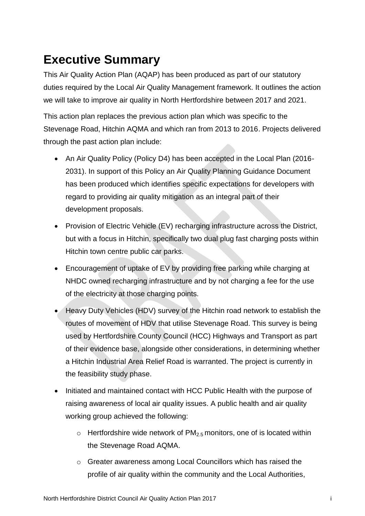# <span id="page-2-0"></span>**Executive Summary**

This Air Quality Action Plan (AQAP) has been produced as part of our statutory duties required by the Local Air Quality Management framework. It outlines the action we will take to improve air quality in North Hertfordshire between 2017 and 2021.

This action plan replaces the previous action plan which was specific to the Stevenage Road, Hitchin AQMA and which ran from 2013 to 2016. Projects delivered through the past action plan include:

- An Air Quality Policy (Policy D4) has been accepted in the Local Plan (2016-2031). In support of this Policy an Air Quality Planning Guidance Document has been produced which identifies specific expectations for developers with regard to providing air quality mitigation as an integral part of their development proposals.
- Provision of Electric Vehicle (EV) recharging infrastructure across the District, but with a focus in Hitchin, specifically two dual plug fast charging posts within Hitchin town centre public car parks.
- Encouragement of uptake of EV by providing free parking while charging at NHDC owned recharging infrastructure and by not charging a fee for the use of the electricity at those charging points.
- Heavy Duty Vehicles (HDV) survey of the Hitchin road network to establish the routes of movement of HDV that utilise Stevenage Road. This survey is being used by Hertfordshire County Council (HCC) Highways and Transport as part of their evidence base, alongside other considerations, in determining whether a Hitchin Industrial Area Relief Road is warranted. The project is currently in the feasibility study phase.
- Initiated and maintained contact with HCC Public Health with the purpose of raising awareness of local air quality issues. A public health and air quality working group achieved the following:
	- $\circ$  Hertfordshire wide network of PM<sub>2.5</sub> monitors, one of is located within the Stevenage Road AQMA.
	- o Greater awareness among Local Councillors which has raised the profile of air quality within the community and the Local Authorities,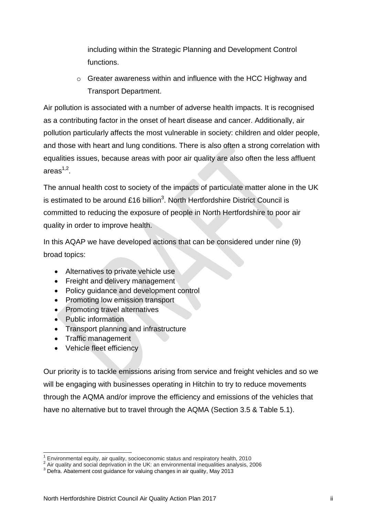including within the Strategic Planning and Development Control functions.

o Greater awareness within and influence with the HCC Highway and Transport Department.

Air pollution is associated with a number of adverse health impacts. It is recognised as a contributing factor in the onset of heart disease and cancer. Additionally, air pollution particularly affects the most vulnerable in society: children and older people, and those with heart and lung conditions. There is also often a strong correlation with equalities issues, because areas with poor air quality are also often the less affluent areas $^{1,2}.$ 

The annual health cost to society of the impacts of particulate matter alone in the UK is estimated to be around £16 billion<sup>3</sup>. North Hertfordshire District Council is committed to reducing the exposure of people in North Hertfordshire to poor air quality in order to improve health.

In this AQAP we have developed actions that can be considered under nine (9) broad topics:

- Alternatives to private vehicle use
- Freight and delivery management
- Policy guidance and development control
- Promoting low emission transport
- Promoting travel alternatives
- Public information
- Transport planning and infrastructure
- Traffic management
- Vehicle fleet efficiency

Our priority is to tackle emissions arising from service and freight vehicles and so we will be engaging with businesses operating in Hitchin to try to reduce movements through the AQMA and/or improve the efficiency and emissions of the vehicles that have no alternative but to travel through the AQMA (Section 3.5 & Table 5.1).

l  $1$  Environmental equity, air quality, socioeconomic status and respiratory health, 2010

 $^2$  Air quality and social deprivation in the UK: an environmental inequalities analysis, 2006

 $^3$  Defra. Abatement cost guidance for valuing changes in air quality, May 2013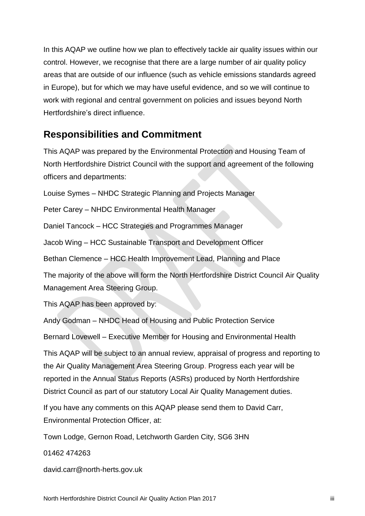In this AQAP we outline how we plan to effectively tackle air quality issues within our control. However, we recognise that there are a large number of air quality policy areas that are outside of our influence (such as vehicle emissions standards agreed in Europe), but for which we may have useful evidence, and so we will continue to work with regional and central government on policies and issues beyond North Hertfordshire's direct influence.

### <span id="page-4-0"></span>**Responsibilities and Commitment**

This AQAP was prepared by the Environmental Protection and Housing Team of North Hertfordshire District Council with the support and agreement of the following officers and departments:

Louise Symes – NHDC Strategic Planning and Projects Manager

Peter Carey – NHDC Environmental Health Manager

Daniel Tancock – HCC Strategies and Programmes Manager

Jacob Wing – HCC Sustainable Transport and Development Officer

Bethan Clemence – HCC Health Improvement Lead, Planning and Place

The majority of the above will form the North Hertfordshire District Council Air Quality Management Area Steering Group.

This AQAP has been approved by:

Andy Godman – NHDC Head of Housing and Public Protection Service

Bernard Lovewell – Executive Member for Housing and Environmental Health

This AQAP will be subject to an annual review, appraisal of progress and reporting to the Air Quality Management Area Steering Group. Progress each year will be reported in the Annual Status Reports (ASRs) produced by North Hertfordshire District Council as part of our statutory Local Air Quality Management duties.

If you have any comments on this AQAP please send them to David Carr, Environmental Protection Officer, at:

Town Lodge, Gernon Road, Letchworth Garden City, SG6 3HN

01462 474263

david.carr@north-herts.gov.uk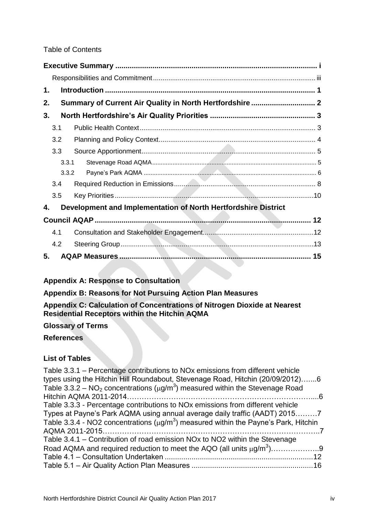#### Table of Contents

| 1. |     |                                                                |  |
|----|-----|----------------------------------------------------------------|--|
| 2. |     | Summary of Current Air Quality in North Hertfordshire 2        |  |
| 3. |     |                                                                |  |
|    | 3.1 |                                                                |  |
|    | 3.2 |                                                                |  |
|    | 3.3 |                                                                |  |
|    |     | 3.3.1                                                          |  |
|    |     | 3.3.2                                                          |  |
|    | 3.4 |                                                                |  |
|    | 3.5 |                                                                |  |
| 4. |     | Development and Implementation of North Hertfordshire District |  |
|    |     |                                                                |  |
|    | 4.1 |                                                                |  |
|    | 4.2 |                                                                |  |
| 5. |     |                                                                |  |

### **Appendix A: Response to Consultation**

**Appendix B: Reasons for Not Pursuing Action Plan Measures**

#### **Appendix C: Calculation of Concentrations of Nitrogen Dioxide at Nearest Residential Receptors within the Hitchin AQMA**

#### **Glossary of Terms**

#### **References**

### **List of Tables**

| Table 3.3.1 – Percentage contributions to NOx emissions from different vehicle<br>types using the Hitchin Hill Roundabout, Stevenage Road, Hitchin (20/09/2012)6 |  |
|------------------------------------------------------------------------------------------------------------------------------------------------------------------|--|
| Table 3.3.2 – NO <sub>2</sub> concentrations ( $\mu$ g/m <sup>3</sup> ) measured within the Stevenage Road                                                       |  |
|                                                                                                                                                                  |  |
| Table 3.3.3 - Percentage contributions to NO <sub>x</sub> emissions from different vehicle                                                                       |  |
| Types at Payne's Park AQMA using annual average daily traffic (AADT) 20157                                                                                       |  |
| Table 3.3.4 - NO2 concentrations ( $\mu$ g/m <sup>3</sup> ) measured within the Payne's Park, Hitchin                                                            |  |
|                                                                                                                                                                  |  |
| Table 3.4.1 – Contribution of road emission NOx to NO2 within the Stevenage                                                                                      |  |
| Road AQMA and required reduction to meet the AQO (all units $\mu q/m^3$ )9                                                                                       |  |
|                                                                                                                                                                  |  |
|                                                                                                                                                                  |  |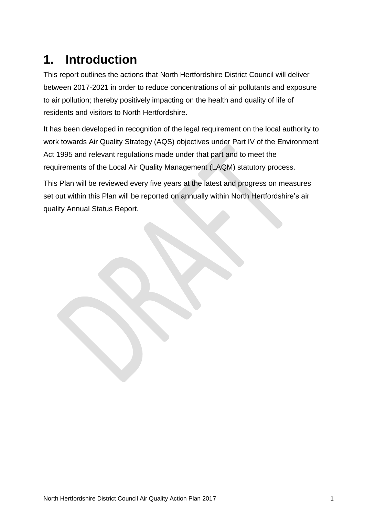# <span id="page-6-0"></span>**1. Introduction**

This report outlines the actions that North Hertfordshire District Council will deliver between 2017-2021 in order to reduce concentrations of air pollutants and exposure to air pollution; thereby positively impacting on the health and quality of life of residents and visitors to North Hertfordshire.

It has been developed in recognition of the legal requirement on the local authority to work towards Air Quality Strategy (AQS) objectives under Part IV of the Environment Act 1995 and relevant regulations made under that part and to meet the requirements of the Local Air Quality Management (LAQM) statutory process.

This Plan will be reviewed every five years at the latest and progress on measures set out within this Plan will be reported on annually within North Hertfordshire's air quality Annual Status Report.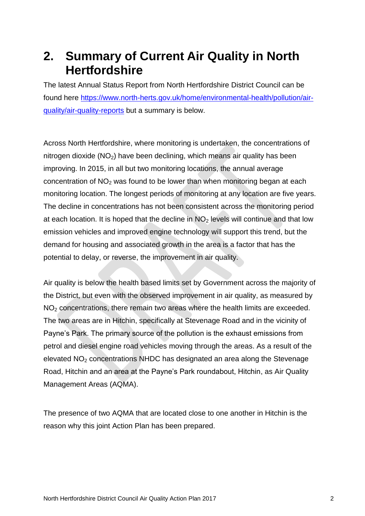## <span id="page-7-0"></span>**2. Summary of Current Air Quality in North Hertfordshire**

The latest Annual Status Report from North Hertfordshire District Council can be found here [https://www.north-herts.gov.uk/home/environmental-health/pollution/air](https://www.north-herts.gov.uk/home/environmental-health/pollution/air-quality/air-quality-reports)[quality/air-quality-reports](https://www.north-herts.gov.uk/home/environmental-health/pollution/air-quality/air-quality-reports) but a summary is below.

Across North Hertfordshire, where monitoring is undertaken, the concentrations of nitrogen dioxide  $(NO<sub>2</sub>)$  have been declining, which means air quality has been improving. In 2015, in all but two monitoring locations, the annual average concentration of  $NO<sub>2</sub>$  was found to be lower than when monitoring began at each monitoring location. The longest periods of monitoring at any location are five years. The decline in concentrations has not been consistent across the monitoring period at each location. It is hoped that the decline in  $NO<sub>2</sub>$  levels will continue and that low emission vehicles and improved engine technology will support this trend, but the demand for housing and associated growth in the area is a factor that has the potential to delay, or reverse, the improvement in air quality.

Air quality is below the health based limits set by Government across the majority of the District, but even with the observed improvement in air quality, as measured by NO<sup>2</sup> concentrations, there remain two areas where the health limits are exceeded. The two areas are in Hitchin, specifically at Stevenage Road and in the vicinity of Payne's Park. The primary source of the pollution is the exhaust emissions from petrol and diesel engine road vehicles moving through the areas. As a result of the elevated NO<sub>2</sub> concentrations NHDC has designated an area along the Stevenage Road, Hitchin and an area at the Payne's Park roundabout, Hitchin, as Air Quality Management Areas (AQMA).

The presence of two AQMA that are located close to one another in Hitchin is the reason why this joint Action Plan has been prepared.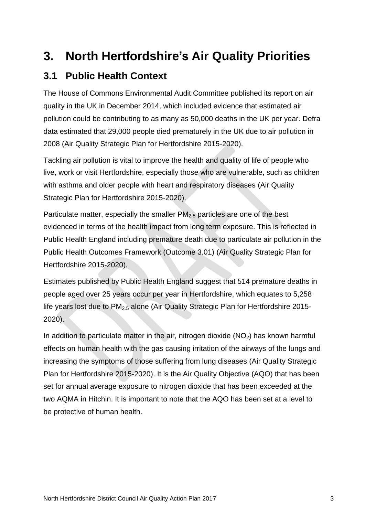## <span id="page-8-0"></span>**3. North Hertfordshire's Air Quality Priorities**

### <span id="page-8-1"></span>**3.1 Public Health Context**

The House of Commons Environmental Audit Committee published its report on air quality in the UK in December 2014, which included evidence that estimated air pollution could be contributing to as many as 50,000 deaths in the UK per year. Defra data estimated that 29,000 people died prematurely in the UK due to air pollution in 2008 (Air Quality Strategic Plan for Hertfordshire 2015-2020).

Tackling air pollution is vital to improve the health and quality of life of people who live, work or visit Hertfordshire, especially those who are vulnerable, such as children with asthma and older people with heart and respiratory diseases (Air Quality Strategic Plan for Hertfordshire 2015-2020).

Particulate matter, especially the smaller  $PM<sub>2.5</sub>$  particles are one of the best evidenced in terms of the health impact from long term exposure. This is reflected in Public Health England including premature death due to particulate air pollution in the Public Health Outcomes Framework (Outcome 3.01) (Air Quality Strategic Plan for Hertfordshire 2015-2020).

Estimates published by Public Health England suggest that 514 premature deaths in people aged over 25 years occur per year in Hertfordshire, which equates to 5,258 life years lost due to PM<sub>2.5</sub> alone (Air Quality Strategic Plan for Hertfordshire 2015-2020).

In addition to particulate matter in the air, nitrogen dioxide  $(NO<sub>2</sub>)$  has known harmful effects on human health with the gas causing irritation of the airways of the lungs and increasing the symptoms of those suffering from lung diseases (Air Quality Strategic Plan for Hertfordshire 2015-2020). It is the Air Quality Objective (AQO) that has been set for annual average exposure to nitrogen dioxide that has been exceeded at the two AQMA in Hitchin. It is important to note that the AQO has been set at a level to be protective of human health.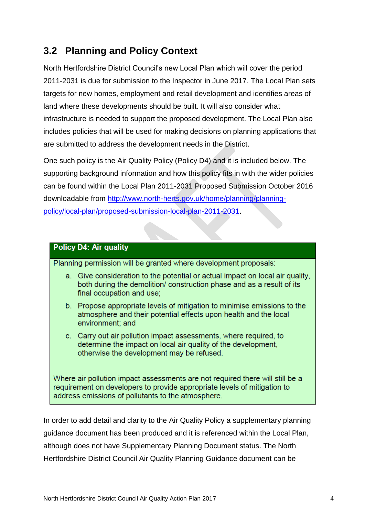## <span id="page-9-0"></span>**3.2 Planning and Policy Context**

North Hertfordshire District Council's new Local Plan which will cover the period 2011-2031 is due for submission to the Inspector in June 2017. The Local Plan sets targets for new homes, employment and retail development and identifies areas of land where these developments should be built. It will also consider what infrastructure is needed to support the proposed development. The Local Plan also includes policies that will be used for making decisions on planning applications that are submitted to address the development needs in the District.

One such policy is the Air Quality Policy (Policy D4) and it is included below. The supporting background information and how this policy fits in with the wider policies can be found within the Local Plan 2011-2031 Proposed Submission October 2016 downloadable from [http://www.north-herts.gov.uk/home/planning/planning](http://www.north-herts.gov.uk/home/planning/planning-policy/local-plan/proposed-submission-local-plan-2011-2031)[policy/local-plan/proposed-submission-local-plan-2011-2031.](http://www.north-herts.gov.uk/home/planning/planning-policy/local-plan/proposed-submission-local-plan-2011-2031)

#### **Policy D4: Air quality**

Planning permission will be granted where development proposals:

- a. Give consideration to the potential or actual impact on local air quality, both during the demolition/construction phase and as a result of its final occupation and use:
- b. Propose appropriate levels of mitigation to minimise emissions to the atmosphere and their potential effects upon health and the local environment; and
- c. Carry out air pollution impact assessments, where required, to determine the impact on local air quality of the development, otherwise the development may be refused.

Where air pollution impact assessments are not required there will still be a requirement on developers to provide appropriate levels of mitigation to address emissions of pollutants to the atmosphere.

In order to add detail and clarity to the Air Quality Policy a supplementary planning guidance document has been produced and it is referenced within the Local Plan, although does not have Supplementary Planning Document status. The North Hertfordshire District Council Air Quality Planning Guidance document can be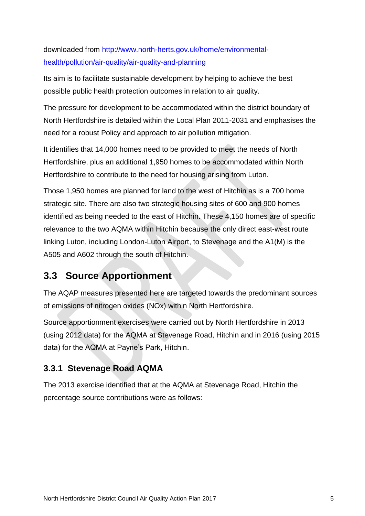downloaded from [http://www.north-herts.gov.uk/home/environmental](http://www.north-herts.gov.uk/home/environmental-health/pollution/air-quality/air-quality-and-planning)[health/pollution/air-quality/air-quality-and-planning](http://www.north-herts.gov.uk/home/environmental-health/pollution/air-quality/air-quality-and-planning)

Its aim is to facilitate sustainable development by helping to achieve the best possible public health protection outcomes in relation to air quality.

The pressure for development to be accommodated within the district boundary of North Hertfordshire is detailed within the Local Plan 2011-2031 and emphasises the need for a robust Policy and approach to air pollution mitigation.

It identifies that 14,000 homes need to be provided to meet the needs of North Hertfordshire, plus an additional 1,950 homes to be accommodated within North Hertfordshire to contribute to the need for housing arising from Luton.

Those 1,950 homes are planned for land to the west of Hitchin as is a 700 home strategic site. There are also two strategic housing sites of 600 and 900 homes identified as being needed to the east of Hitchin. These 4,150 homes are of specific relevance to the two AQMA within Hitchin because the only direct east-west route linking Luton, including London-Luton Airport, to Stevenage and the A1(M) is the A505 and A602 through the south of Hitchin.

## <span id="page-10-0"></span>**3.3 Source Apportionment**

The AQAP measures presented here are targeted towards the predominant sources of emissions of nitrogen oxides (NOx) within North Hertfordshire.

Source apportionment exercises were carried out by North Hertfordshire in 2013 (using 2012 data) for the AQMA at Stevenage Road, Hitchin and in 2016 (using 2015 data) for the AQMA at Payne's Park, Hitchin.

### <span id="page-10-1"></span>**3.3.1 Stevenage Road AQMA**

The 2013 exercise identified that at the AQMA at Stevenage Road, Hitchin the percentage source contributions were as follows: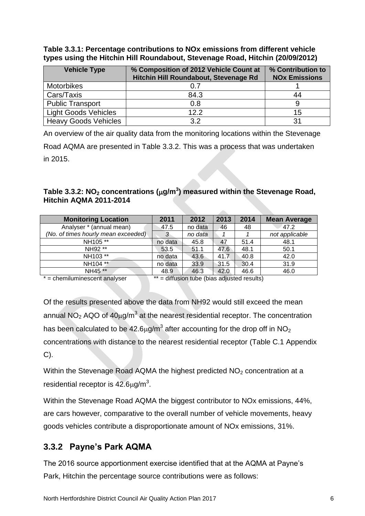**Table 3.3.1: Percentage contributions to NOx emissions from different vehicle types using the Hitchin Hill Roundabout, Stevenage Road, Hitchin (20/09/2012)**

| <b>Vehicle Type</b>         | % Composition of 2012 Vehicle Count at<br>Hitchin Hill Roundabout, Stevenage Rd | % Contribution to<br><b>NOx Emissions</b> |
|-----------------------------|---------------------------------------------------------------------------------|-------------------------------------------|
| <b>Motorbikes</b>           |                                                                                 |                                           |
| Cars/Taxis                  | 84.3                                                                            | 44                                        |
| <b>Public Transport</b>     | 0.8                                                                             |                                           |
| <b>Light Goods Vehicles</b> | 122                                                                             | 15                                        |
| <b>Heavy Goods Vehicles</b> | 3.2                                                                             | 31                                        |

An overview of the air quality data from the monitoring locations within the Stevenage Road AQMA are presented in Table 3.3.2. This was a process that was undertaken

in 2015.

### **Table 3.3.2: NO<sup>2</sup> concentrations (g/m<sup>3</sup> ) measured within the Stevenage Road, Hitchin AQMA 2011-2014**

| <b>Monitoring Location</b>          | 2011    | 2012    | 2013 | 2014 | <b>Mean Average</b> |
|-------------------------------------|---------|---------|------|------|---------------------|
| Analyser * (annual mean)            | 47.5    | no data | 46   | 48   | 47.2                |
| (No. of times hourly mean exceeded) | 3       | no data |      |      | not applicable      |
| NH105 **                            | no data | 45.8    | 47   | 51.4 | 48.1                |
| NH92 **                             | 53.5    | 51.1    | 47.6 | 48.1 | 50.1                |
| NH103 **                            | no data | 43.6    | 41.7 | 40.8 | 42.0                |
| NH104 **                            | no data | 33.9    | 31.5 | 30.4 | 31.9                |
| NH45 **                             | 48.9    | 46.3    | 42.0 | 46.6 | 46.0                |
|                                     |         |         |      |      |                     |

 $* =$  chemiluminescent analyser  $* =$  diffusion tube (bias adjusted results)

Of the results presented above the data from NH92 would still exceed the mean annual NO<sub>2</sub> AQO of 40µg/m<sup>3</sup> at the nearest residential receptor. The concentration has been calculated to be 42.6 $\mu$ g/m $^3$  after accounting for the drop off in NO $_2$ concentrations with distance to the nearest residential receptor (Table C.1 Appendix  $C$ ).

Within the Stevenage Road AQMA the highest predicted NO<sub>2</sub> concentration at a residential receptor is  $42.6 \mu$ g/m<sup>3</sup>.

Within the Stevenage Road AQMA the biggest contributor to NOx emissions, 44%, are cars however, comparative to the overall number of vehicle movements, heavy goods vehicles contribute a disproportionate amount of NOx emissions, 31%.

### <span id="page-11-0"></span>**3.3.2 Payne's Park AQMA**

The 2016 source apportionment exercise identified that at the AQMA at Payne's Park, Hitchin the percentage source contributions were as follows: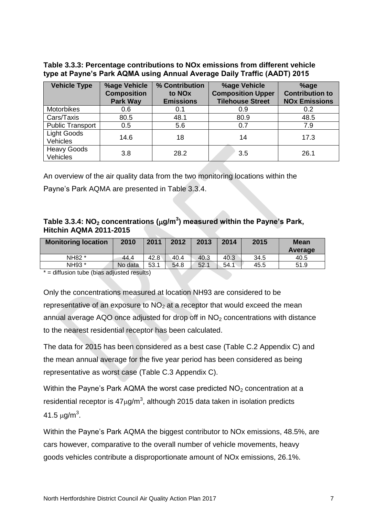**Table 3.3.3: Percentage contributions to NOx emissions from different vehicle type at Payne's Park AQMA using Annual Average Daily Traffic (AADT) 2015**

| <b>Vehicle Type</b>                   | <b>%age Vehicle</b><br><b>Composition</b><br><b>Park Way</b> | % Contribution<br>to NO <sub>x</sub><br><b>Emissions</b> | %age Vehicle<br><b>Composition Upper</b><br><b>Tilehouse Street</b> | %age<br><b>Contribution to</b><br><b>NOx Emissions</b> |
|---------------------------------------|--------------------------------------------------------------|----------------------------------------------------------|---------------------------------------------------------------------|--------------------------------------------------------|
| <b>Motorbikes</b>                     | 0.6                                                          | 0.1                                                      | 0.9                                                                 | 0.2                                                    |
| Cars/Taxis                            | 80.5                                                         | 48.1                                                     | 80.9                                                                | 48.5                                                   |
| <b>Public Transport</b>               | 0.5                                                          | 5.6                                                      | 0.7                                                                 | 7.9                                                    |
| <b>Light Goods</b><br><b>Vehicles</b> | 14.6                                                         | 18                                                       | 14                                                                  | 17.3                                                   |
| <b>Heavy Goods</b><br><b>Vehicles</b> | 3.8                                                          | 28.2                                                     | 3.5                                                                 | 26.1                                                   |

An overview of the air quality data from the two monitoring locations within the

Payne's Park AQMA are presented in Table 3.3.4.

### **Table 3.3.4: NO<sup>2</sup> concentrations (g/m<sup>3</sup> ) measured within the Payne's Park, Hitchin AQMA 2011-2015**

| <b>Monitoring location</b> | 2010    | 2011 | 2012 | 2013 | 2014 | 2015 | <b>Mean</b><br>Average |
|----------------------------|---------|------|------|------|------|------|------------------------|
| NH82 *                     | 44.4    | 42.8 | 40.4 | 40.3 | 40.3 | 34.5 | 40.5                   |
| NH93 *                     | No data | 53.1 | 54.8 | 52.1 | 54.1 | 45.5 | 51.9                   |

\* = diffusion tube (bias adjusted results)

Only the concentrations measured at location NH93 are considered to be representative of an exposure to  $NO<sub>2</sub>$  at a receptor that would exceed the mean annual average AQO once adjusted for drop off in  $NO<sub>2</sub>$  concentrations with distance to the nearest residential receptor has been calculated.

The data for 2015 has been considered as a best case (Table C.2 Appendix C) and the mean annual average for the five year period has been considered as being representative as worst case (Table C.3 Appendix C).

Within the Payne's Park AQMA the worst case predicted  $NO<sub>2</sub>$  concentration at a residential receptor is 47 $\mu$ g/m<sup>3</sup>, although 2015 data taken in isolation predicts 41.5  $\mu$ g/m $^3$ .

Within the Payne's Park AQMA the biggest contributor to NOx emissions, 48.5%, are cars however, comparative to the overall number of vehicle movements, heavy goods vehicles contribute a disproportionate amount of NOx emissions, 26.1%.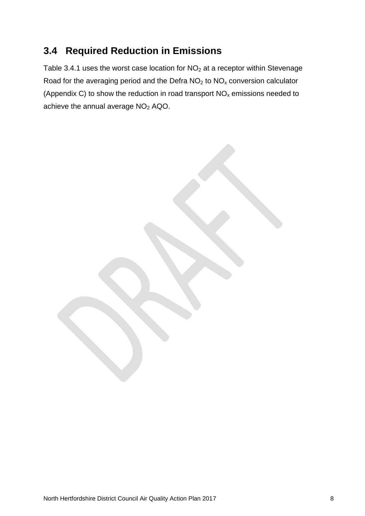## <span id="page-13-0"></span>**3.4 Required Reduction in Emissions**

Table 3.4.1 uses the worst case location for  $NO<sub>2</sub>$  at a receptor within Stevenage Road for the averaging period and the Defra  $NO<sub>2</sub>$  to  $NO<sub>x</sub>$  conversion calculator (Appendix C) to show the reduction in road transport  $NO<sub>x</sub>$  emissions needed to achieve the annual average NO<sub>2</sub> AQO.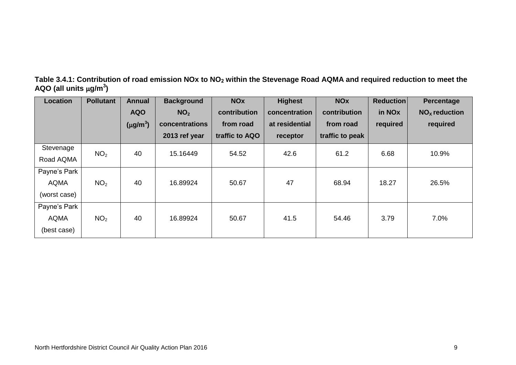| Table 3.4.1: Contribution of road emission NOx to NO <sub>2</sub> within the Stevenage Road AQMA and required reduction to meet the |  |
|-------------------------------------------------------------------------------------------------------------------------------------|--|
| AQO (all units $\mu$ g/m <sup>3</sup> )                                                                                             |  |

| <b>Location</b> | <b>Pollutant</b> | Annual                    | <b>Background</b> | <b>NO<sub>x</sub></b> | <b>Highest</b> | <b>NOx</b>      | <b>Reduction</b>   | <b>Percentage</b> |
|-----------------|------------------|---------------------------|-------------------|-----------------------|----------------|-----------------|--------------------|-------------------|
|                 |                  | <b>AQO</b>                | NO <sub>2</sub>   | contribution          | concentration  | contribution    | in NO <sub>x</sub> | $NOx$ reduction   |
|                 |                  | $(\mu$ g/m <sup>3</sup> ) | concentrations    | from road             | at residential | from road       | required           | required          |
|                 |                  |                           | 2013 ref year     | traffic to AQO        | receptor       | traffic to peak |                    |                   |
| Stevenage       | NO <sub>2</sub>  | 40                        | 15.16449          | 54.52                 | 42.6           | 61.2            | 6.68               | 10.9%             |
| Road AQMA       |                  |                           |                   |                       |                |                 |                    |                   |
| Payne's Park    |                  |                           |                   |                       |                |                 |                    |                   |
| <b>AQMA</b>     | NO <sub>2</sub>  | 40                        | 16.89924          | 50.67                 | 47             | 68.94           | 18.27              | 26.5%             |
| (worst case)    |                  |                           |                   |                       |                |                 |                    |                   |
| Payne's Park    |                  |                           |                   |                       |                |                 |                    |                   |
| <b>AQMA</b>     | NO <sub>2</sub>  | 40                        | 16.89924          | 50.67                 | 41.5           | 54.46           | 3.79               | 7.0%              |
| (best case)     |                  |                           |                   |                       |                |                 |                    |                   |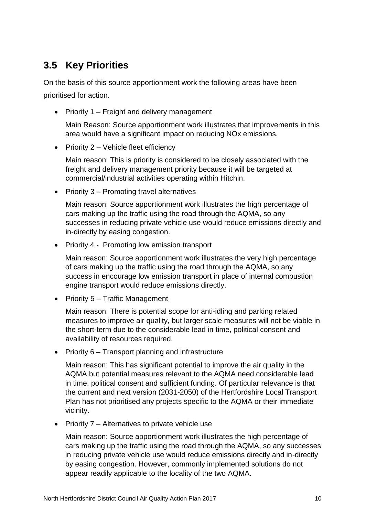## <span id="page-15-0"></span>**3.5 Key Priorities**

On the basis of this source apportionment work the following areas have been prioritised for action.

• Priority 1 – Freight and delivery management

Main Reason: Source apportionment work illustrates that improvements in this area would have a significant impact on reducing NOx emissions.

• Priority  $2 -$  Vehicle fleet efficiency

Main reason: This is priority is considered to be closely associated with the freight and delivery management priority because it will be targeted at commercial/industrial activities operating within Hitchin.

• Priority 3 – Promoting travel alternatives

Main reason: Source apportionment work illustrates the high percentage of cars making up the traffic using the road through the AQMA, so any successes in reducing private vehicle use would reduce emissions directly and in-directly by easing congestion.

• Priority 4 - Promoting low emission transport

Main reason: Source apportionment work illustrates the very high percentage of cars making up the traffic using the road through the AQMA, so any success in encourage low emission transport in place of internal combustion engine transport would reduce emissions directly.

• Priority 5 – Traffic Management

Main reason: There is potential scope for anti-idling and parking related measures to improve air quality, but larger scale measures will not be viable in the short-term due to the considerable lead in time, political consent and availability of resources required.

• Priority 6 – Transport planning and infrastructure

Main reason: This has significant potential to improve the air quality in the AQMA but potential measures relevant to the AQMA need considerable lead in time, political consent and sufficient funding. Of particular relevance is that the current and next version (2031-2050) of the Hertfordshire Local Transport Plan has not prioritised any projects specific to the AQMA or their immediate vicinity.

 $\bullet$  Priority 7 – Alternatives to private vehicle use

Main reason: Source apportionment work illustrates the high percentage of cars making up the traffic using the road through the AQMA, so any successes in reducing private vehicle use would reduce emissions directly and in-directly by easing congestion. However, commonly implemented solutions do not appear readily applicable to the locality of the two AQMA.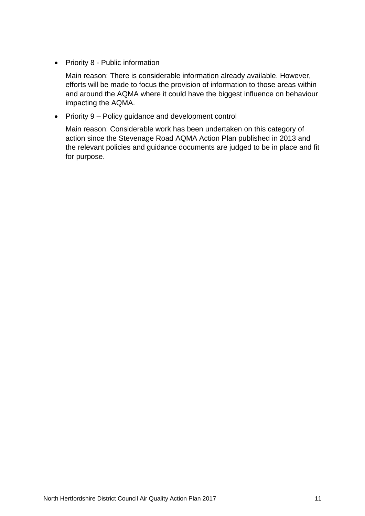• Priority 8 - Public information

Main reason: There is considerable information already available. However, efforts will be made to focus the provision of information to those areas within and around the AQMA where it could have the biggest influence on behaviour impacting the AQMA.

• Priority 9 – Policy guidance and development control

Main reason: Considerable work has been undertaken on this category of action since the Stevenage Road AQMA Action Plan published in 2013 and the relevant policies and guidance documents are judged to be in place and fit for purpose.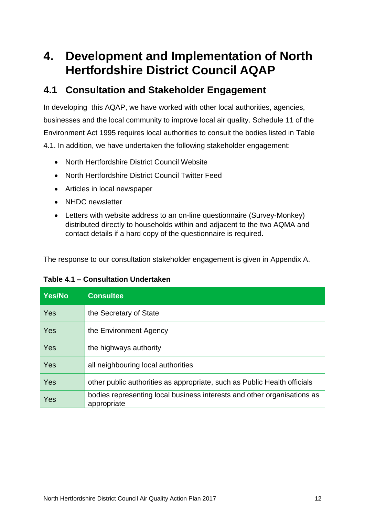# <span id="page-17-0"></span>**4. Development and Implementation of North Hertfordshire District Council AQAP**

### <span id="page-17-1"></span>**4.1 Consultation and Stakeholder Engagement**

In developing this AQAP, we have worked with other local authorities, agencies, businesses and the local community to improve local air quality. Schedule 11 of the Environment Act 1995 requires local authorities to consult the bodies listed in [Table](#page-17-2)  [4.1.](#page-17-2) In addition, we have undertaken the following stakeholder engagement:

- North Hertfordshire District Council Website
- North Hertfordshire District Council Twitter Feed
- Articles in local newspaper
- NHDC newsletter
- Letters with website address to an on-line questionnaire (Survey-Monkey) distributed directly to households within and adjacent to the two AQMA and contact details if a hard copy of the questionnaire is required.

The response to our consultation stakeholder engagement is given in Appendix A.

<span id="page-17-2"></span>

|  | Table 4.1 - Consultation Undertaken |  |
|--|-------------------------------------|--|
|--|-------------------------------------|--|

| Yes/No | <b>Consultee</b>                                                                       |
|--------|----------------------------------------------------------------------------------------|
| Yes    | the Secretary of State                                                                 |
| Yes    | the Environment Agency                                                                 |
| Yes    | the highways authority                                                                 |
| Yes    | all neighbouring local authorities                                                     |
| Yes    | other public authorities as appropriate, such as Public Health officials               |
| Yes    | bodies representing local business interests and other organisations as<br>appropriate |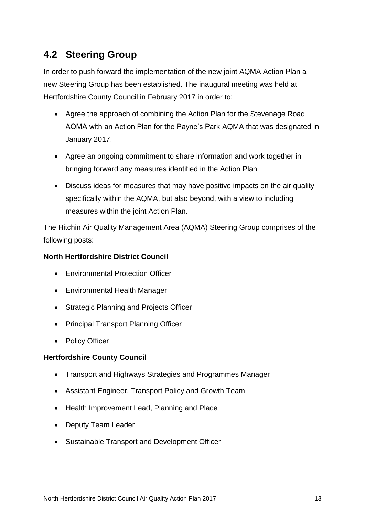## <span id="page-18-0"></span>**4.2 Steering Group**

In order to push forward the implementation of the new joint AQMA Action Plan a new Steering Group has been established. The inaugural meeting was held at Hertfordshire County Council in February 2017 in order to:

- Agree the approach of combining the Action Plan for the Stevenage Road AQMA with an Action Plan for the Payne's Park AQMA that was designated in January 2017.
- Agree an ongoing commitment to share information and work together in bringing forward any measures identified in the Action Plan
- Discuss ideas for measures that may have positive impacts on the air quality specifically within the AQMA, but also beyond, with a view to including measures within the joint Action Plan.

The Hitchin Air Quality Management Area (AQMA) Steering Group comprises of the following posts:

### **North Hertfordshire District Council**

- Environmental Protection Officer
- Environmental Health Manager
- Strategic Planning and Projects Officer
- Principal Transport Planning Officer
- Policy Officer

#### **Hertfordshire County Council**

- Transport and Highways Strategies and Programmes Manager
- Assistant Engineer, Transport Policy and Growth Team
- Health Improvement Lead, Planning and Place
- Deputy Team Leader
- Sustainable Transport and Development Officer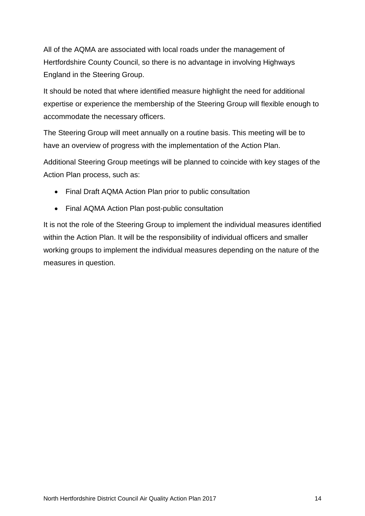All of the AQMA are associated with local roads under the management of Hertfordshire County Council, so there is no advantage in involving Highways England in the Steering Group.

It should be noted that where identified measure highlight the need for additional expertise or experience the membership of the Steering Group will flexible enough to accommodate the necessary officers.

The Steering Group will meet annually on a routine basis. This meeting will be to have an overview of progress with the implementation of the Action Plan.

Additional Steering Group meetings will be planned to coincide with key stages of the Action Plan process, such as:

- Final Draft AQMA Action Plan prior to public consultation
- Final AQMA Action Plan post-public consultation

It is not the role of the Steering Group to implement the individual measures identified within the Action Plan. It will be the responsibility of individual officers and smaller working groups to implement the individual measures depending on the nature of the measures in question.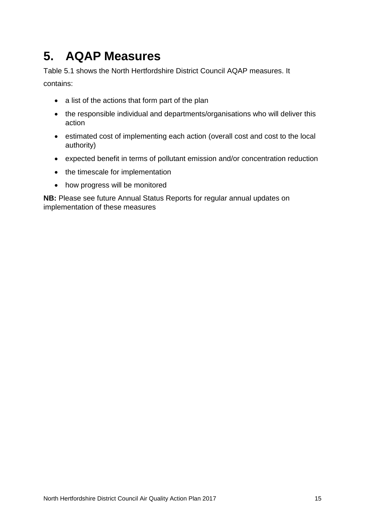# <span id="page-20-0"></span>**5. AQAP Measures**

[Table 5.1](#page-21-0) shows the North Hertfordshire District Council AQAP measures. It contains:

- a list of the actions that form part of the plan
- the responsible individual and departments/organisations who will deliver this action
- estimated cost of implementing each action (overall cost and cost to the local authority)
- expected benefit in terms of pollutant emission and/or concentration reduction
- the timescale for implementation
- how progress will be monitored

**NB:** Please see future Annual Status Reports for regular annual updates on implementation of these measures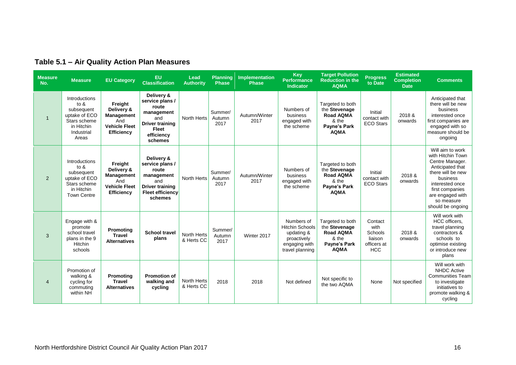<span id="page-21-0"></span>

| <b>Measure</b><br>No. | <b>Measure</b>                                                                                              | <b>EU Category</b>                                                                             | EU<br><b>Classification</b>                                                                                                    | Lead<br><b>Authority</b>         | Planning<br><b>Phase</b>  | Implementation<br><b>Phase</b> | <b>Key</b><br><b>Performance</b><br><b>Indicator</b>                                                  | <b>Target Pollution</b><br><b>Reduction in the</b><br><b>AQMA</b>                                    | <b>Progress</b><br>to Date                                         | <b>Estimated</b><br><b>Completion</b><br><b>Date</b> | <b>Comments</b>                                                                                                                                                                                            |
|-----------------------|-------------------------------------------------------------------------------------------------------------|------------------------------------------------------------------------------------------------|--------------------------------------------------------------------------------------------------------------------------------|----------------------------------|---------------------------|--------------------------------|-------------------------------------------------------------------------------------------------------|------------------------------------------------------------------------------------------------------|--------------------------------------------------------------------|------------------------------------------------------|------------------------------------------------------------------------------------------------------------------------------------------------------------------------------------------------------------|
| $\overline{1}$        | Introductions<br>to $8$<br>subsequent<br>uptake of ECO<br>Stars scheme<br>in Hitchin<br>Industrial<br>Areas | Freight<br>Delivery &<br><b>Management</b><br>And<br><b>Vehicle Fleet</b><br><b>Efficiency</b> | Delivery &<br>service plans /<br>route<br>management<br>and<br><b>Driver training</b><br><b>Fleet</b><br>efficiency<br>schemes | North Herts                      | Summer/<br>Autumn<br>2017 | Autumn/Winter<br>2017          | Numbers of<br>business<br>engaged with<br>the scheme                                                  | Targeted to both<br>the Stevenage<br>Road AQMA<br>& the<br>Payne's Park<br><b>AQMA</b>               | Initial<br>contact with<br><b>ECO Stars</b>                        | 2018 &<br>onwards                                    | Anticipated that<br>there will be new<br>business<br>interested once<br>first companies are<br>engaged with so<br>measure should be<br>ongoing                                                             |
| $\overline{2}$        | Introductions<br>to $8$<br>subsequent<br>uptake of ECO<br>Stars scheme<br>in Hitchin<br><b>Town Centre</b>  | Freight<br>Delivery &<br>Management<br>And<br><b>Vehicle Fleet</b><br>Efficiency               | Delivery &<br>service plans /<br>route<br>management<br>and<br><b>Driver training</b><br><b>Fleet efficiency</b><br>schemes    | North Herts                      | Summer/<br>Autumn<br>2017 | Autumn/Winter<br>2017          | Numbers of<br>business<br>engaged with<br>the scheme                                                  | Targeted to both<br>the Stevenage<br>Road AQMA<br>& the<br>Payne's Park<br><b>AQMA</b>               | Initial<br>contact with<br><b>ECO Stars</b>                        | 2018&<br>onwards                                     | Will aim to work<br>with Hitchin Town<br>Centre Manager.<br>Anticipated that<br>there will be new<br>business<br>interested once<br>first companies<br>are engaged with<br>so measure<br>should be ongoing |
| 3                     | Engage with &<br>promote<br>school travel<br>plans in the 9<br>Hitchin<br>schools                           | Promoting<br><b>Travel</b><br><b>Alternatives</b>                                              | <b>School travel</b><br>plans                                                                                                  | North Herts<br>& Herts CC        | Summer/<br>Autumn<br>2017 | Winter 2017                    | Numbers of<br><b>Hitchin Schools</b><br>updating &<br>proactively<br>engaging with<br>travel planning | Targeted to both<br>the Stevenage<br><b>Road AQMA</b><br>& the<br><b>Payne's Park</b><br><b>AQMA</b> | Contact<br>with<br>Schools<br>liaison<br>officers at<br><b>HCC</b> | 2018 &<br>onwards                                    | Will work with<br>HCC officers.<br>travel planning<br>contractors &<br>schools to<br>optimise existing<br>or introduce new<br>plans                                                                        |
| $\overline{4}$        | Promotion of<br>walking &<br>cycling for<br>commuting<br>within NH                                          | Promoting<br><b>Travel</b><br><b>Alternatives</b>                                              | <b>Promotion of</b><br>walking and<br>cycling                                                                                  | <b>North Herts</b><br>& Herts CC | 2018                      | 2018                           | Not defined                                                                                           | Not specific to<br>the two AQMA                                                                      | None                                                               | Not specified                                        | Will work with<br><b>NHDC Active</b><br><b>Communities Team</b><br>to investigate<br>initiatives to<br>promote walking &<br>cycling                                                                        |

### **Table 5.1 ‒ Air Quality Action Plan Measures**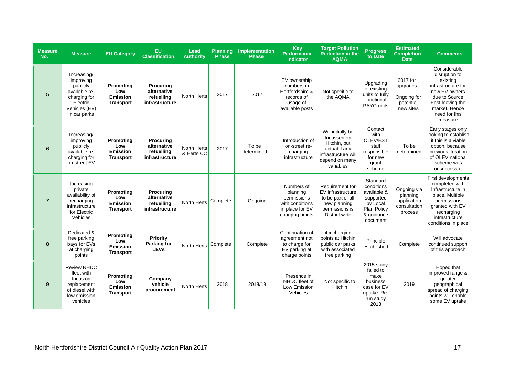| <b>Measure</b><br>No. | <b>Measure</b>                                                                                                     | <b>EU Category</b>                                      | EU<br><b>Classification</b>                                     | Lead<br><b>Authority</b>  | <b>Planning</b><br><b>Phase</b> | Implementation<br><b>Phase</b> | <b>Key</b><br><b>Performance</b><br><b>Indicator</b>                                           | <b>Target Pollution</b><br><b>Reduction in the</b><br><b>AQMA</b>                                                       | <b>Progress</b><br>to Date                                                                              | <b>Estimated</b><br><b>Completion</b><br><b>Date</b>              | <b>Comments</b>                                                                                                                                                       |
|-----------------------|--------------------------------------------------------------------------------------------------------------------|---------------------------------------------------------|-----------------------------------------------------------------|---------------------------|---------------------------------|--------------------------------|------------------------------------------------------------------------------------------------|-------------------------------------------------------------------------------------------------------------------------|---------------------------------------------------------------------------------------------------------|-------------------------------------------------------------------|-----------------------------------------------------------------------------------------------------------------------------------------------------------------------|
| $5\phantom{1}$        | Increasing/<br>improving<br>publicly<br>available re-<br>charging for<br>Electric<br>Vehicles (EV)<br>in car parks | Promoting<br>Low<br>Emission<br><b>Transport</b>        | <b>Procuring</b><br>alternative<br>refuelling<br>infrastructure | <b>North Herts</b>        | 2017                            | 2017                           | EV ownership<br>numbers in<br>Hertfordshire &<br>records of<br>usage of<br>available posts     | Not specific to<br>the AQMA                                                                                             | Upgrading<br>of existing<br>units to fully<br>functional<br><b>PAYG units</b>                           | 2017 for<br>upgrades<br>Ongoing for<br>potential<br>new sites     | Considerable<br>disruption to<br>existing<br>infrastructure for<br>new EV owners<br>due to Source<br>East leaving the<br>market. Hence<br>need for this<br>measure    |
| 6                     | Increasing/<br>improving<br>publicly<br>available re-<br>charging for<br>on-street EV                              | Promoting<br>Low<br>Emission<br><b>Transport</b>        | <b>Procuring</b><br>alternative<br>refuelling<br>infrastructure | North Herts<br>& Herts CC | 2017                            | To be<br>determined            | Introduction of<br>on-street re-<br>charging<br>infrastructure                                 | Will initially be<br>focussed on<br>Hitchin, but<br>actual if any<br>infrastructure will<br>depend on many<br>variables | Contact<br>with<br>OLEV/EST<br>staff<br>responsible<br>for new<br>grant<br>scheme                       | To be<br>determined                                               | Early stages only<br>looking to establish<br>if this is a viable<br>option, because<br>previous iteration<br>of OLEV national<br>scheme was<br>unsuccessful           |
| $\overline{7}$        | Increasing<br>private<br>availability of<br>recharging<br>infrastructure<br>for Electric<br>Vehicles               | Promoting<br>Low<br>Emission<br><b>Transport</b>        | <b>Procuring</b><br>alternative<br>refuelling<br>infrastructure | North Herts               | Complete                        | Ongoing                        | Numbers of<br>planning<br>permissions<br>with conditions<br>in place for EV<br>charging points | Requirement for<br>EV infrastructure<br>to be part of all<br>new planning<br>permissions is<br>District wide            | Standard<br>conditions<br>available &<br>supported<br>by Local<br>Plan Policy<br>& quidance<br>document | Ongoing via<br>planning<br>application<br>consultation<br>process | First developments<br>completed with<br>Infrastructure in<br>place. Multiple<br>permissions<br>granted with EV<br>recharging<br>infrastructure<br>conditions in place |
| 8                     | Dedicated &<br>free parking<br>bays for EVs<br>at charging<br>points                                               | Promoting<br>Low<br><b>Emission</b><br><b>Transport</b> | Priority<br><b>Parking for</b><br><b>LEVs</b>                   | North Herts               | Complete                        | Complete                       | Continuation of<br>agreement not<br>to charge for<br>EV parking at<br>charge points            | 4 x charging<br>points at Hitchin<br>public car parks<br>with associated<br>free parking                                | Principle<br>established                                                                                | Complete                                                          | Will advocate<br>continued support<br>of this approach                                                                                                                |
| 9                     | <b>Review NHDC</b><br>fleet with<br>focus on<br>replacement<br>of diesel with<br>low emission<br>vehicles          | Promoting<br>Low<br>Emission<br><b>Transport</b>        | Company<br>vehicle<br>procurement                               | <b>North Herts</b>        | 2018                            | 2018/19                        | Presence in<br>NHDC fleet of<br>Low Emission<br>Vehicles                                       | Not specific to<br>Hitchin                                                                                              | 2015 study<br>failed to<br>make<br>business<br>case for EV<br>uptake. Re-<br>run study<br>2018          | 2019                                                              | Hoped that<br>improved range &<br>greater<br>geographical<br>spread of charging<br>points will enable<br>some EV uptake                                               |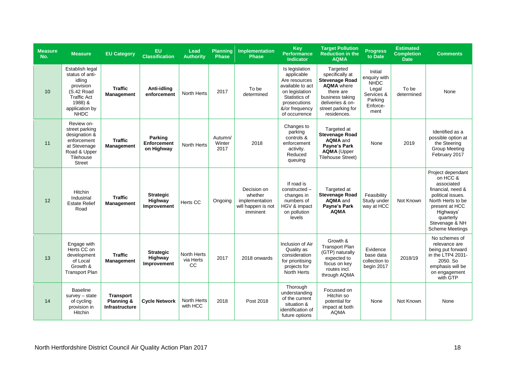| <b>Measure</b><br>No. | <b>Measure</b>                                                                                                                            | <b>EU Category</b>                                      | EU<br><b>Classification</b>                | Lead<br><b>Authority</b>       | <b>Planning</b><br><b>Phase</b> | Implementation<br><b>Phase</b>                                             | <b>Key</b><br><b>Performance</b><br><b>Indicator</b>                                                                                                    | <b>Target Pollution</b><br><b>Reduction in the</b><br><b>AQMA</b>                                                                                                  | <b>Progress</b><br>to Date                                                                   | <b>Estimated</b><br><b>Completion</b><br><b>Date</b> | <b>Comments</b>                                                                                                                                                                                    |
|-----------------------|-------------------------------------------------------------------------------------------------------------------------------------------|---------------------------------------------------------|--------------------------------------------|--------------------------------|---------------------------------|----------------------------------------------------------------------------|---------------------------------------------------------------------------------------------------------------------------------------------------------|--------------------------------------------------------------------------------------------------------------------------------------------------------------------|----------------------------------------------------------------------------------------------|------------------------------------------------------|----------------------------------------------------------------------------------------------------------------------------------------------------------------------------------------------------|
| 10                    | Establish legal<br>status of anti-<br>idling<br>provision<br>(S.42 Road<br><b>Traffic Act</b><br>1988) &<br>application by<br><b>NHDC</b> | <b>Traffic</b><br><b>Management</b>                     | Anti-idling<br>enforcement                 | <b>North Herts</b>             | 2017                            | To be<br>determined                                                        | Is legislation<br>applicable<br>Are resources<br>available to act<br>on legislation<br>Statistics of<br>prosecutions<br>&/or frequency<br>of occurrence | Targeted<br>specifically at<br><b>Stevenage Road</b><br><b>AQMA</b> where<br>there are<br>business taking<br>deliveries & on-<br>street parking for<br>residences. | Initial<br>enquiry with<br><b>NHDC</b><br>Legal<br>Services &<br>Parking<br>Enforce-<br>ment | To be<br>determined                                  | None                                                                                                                                                                                               |
| 11                    | Review on-<br>street parking<br>designation &<br>enforcement<br>at Stevenage<br>Road & Upper<br>Tilehouse<br><b>Street</b>                | <b>Traffic</b><br>Management                            | Parking<br>Enforcement<br>on Highway       | North Herts                    | Autumn/<br>Winter<br>2017       | 2018                                                                       | Changes to<br>parking<br>controls &<br>enforcement<br>activity.<br>Reduced<br>queuing                                                                   | Targeted at<br><b>Stevenage Road</b><br><b>AQMA</b> and<br>Payne's Park<br><b>AQMA</b> (Upper<br><b>Tilehouse Street)</b>                                          | None                                                                                         | 2019                                                 | Identified as a<br>possible option at<br>the Steering<br><b>Group Meeting</b><br>February 2017                                                                                                     |
| 12                    | Hitchin<br>Industrial<br><b>Estate Relief</b><br>Road                                                                                     | <b>Traffic</b><br><b>Management</b>                     | <b>Strategic</b><br>Highway<br>Improvement | Herts CC                       | Ongoing                         | Decision on<br>whether<br>implementation<br>will happen is not<br>imminent | If road is<br>constructed -<br>changes in<br>numbers of<br>HGV & impact<br>on pollution<br>levels                                                       | Targeted at<br><b>Stevenage Road</b><br>AQMA and<br>Payne's Park<br><b>AQMA</b>                                                                                    | Feasibility<br>Study under<br>way at HCC                                                     | Not Known                                            | Project dependant<br>on HCC &<br>associated<br>financial, need &<br>political issues.<br>North Herts to be<br>present at HCC<br>Highways'<br>quarterly<br>Stevenage & NH<br><b>Scheme Meetings</b> |
| 13                    | Engage with<br>Herts CC on<br>development<br>of Local<br>Growth &<br><b>Transport Plan</b>                                                | <b>Traffic</b><br><b>Management</b>                     | <b>Strategic</b><br>Highway<br>Improvement | North Herts<br>via Herts<br>CC | 2017                            | 2018 onwards                                                               | Inclusion of Air<br>Quality as<br>consideration<br>for prioritising<br>projects for<br>North Herts                                                      | Growth &<br><b>Transport Plan</b><br>(GTP) naturally<br>expected to<br>focus on key<br>routes incl.<br>through AQMA                                                | Evidence<br>base data<br>collection to<br>begin 2017                                         | 2018/19                                              | No schemes of<br>relevance are<br>being put forward<br>in the LTP4 2031-<br>2050. So<br>emphasis will be<br>on engagement<br>with GTP                                                              |
| 14                    | <b>Baseline</b><br>$survey - state$<br>of cycling<br>provision in<br>Hitchin                                                              | <b>Transport</b><br>Planning &<br><b>Infrastructure</b> | <b>Cycle Network</b>                       | North Herts<br>with HCC        | 2018                            | Post 2018                                                                  | Thorough<br>understanding<br>of the current<br>situation &<br>identification of<br>future options                                                       | Focussed on<br>Hitchin so<br>potential for<br>impact at both<br><b>AQMA</b>                                                                                        | None                                                                                         | Not Known                                            | None                                                                                                                                                                                               |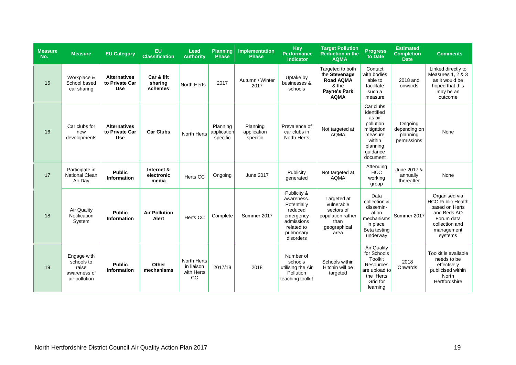| <b>Measure</b><br>No. | <b>Measure</b>                                                      | <b>EU Category</b>                                  | <b>EU</b><br><b>Classification</b> | Lead<br><b>Authority</b>                      | Planning<br>Phase                   | Implementation<br><b>Phase</b>      | Key<br><b>Performance</b><br><b>Indicator</b>                                                                          | <b>Target Pollution</b><br><b>Reduction in the</b><br><b>AQMA</b>                             | <b>Progress</b><br>to Date                                                                                            | <b>Estimated</b><br><b>Completion</b><br><b>Date</b> | <b>Comments</b>                                                                                                                     |
|-----------------------|---------------------------------------------------------------------|-----------------------------------------------------|------------------------------------|-----------------------------------------------|-------------------------------------|-------------------------------------|------------------------------------------------------------------------------------------------------------------------|-----------------------------------------------------------------------------------------------|-----------------------------------------------------------------------------------------------------------------------|------------------------------------------------------|-------------------------------------------------------------------------------------------------------------------------------------|
| 15                    | Workplace &<br>School based<br>car sharing                          | <b>Alternatives</b><br>to Private Car<br>Use        | Car & lift<br>sharing<br>schemes   | <b>North Herts</b>                            | 2017                                | Autumn / Winter<br>2017             | Uptake by<br>businesses &<br>schools                                                                                   | Targeted to both<br>the Stevenage<br><b>Road AQMA</b><br>& the<br>Payne's Park<br><b>AQMA</b> | Contact<br>with bodies<br>able to<br>facilitate<br>such a<br>measure                                                  | 2018 and<br>onwards                                  | Linked directly to<br>Measures 1, 2 & 3<br>as it would be<br>hoped that this<br>may be an<br>outcome                                |
| 16                    | Car clubs for<br>new<br>developments                                | <b>Alternatives</b><br>to Private Car<br><b>Use</b> | <b>Car Clubs</b>                   | North Herts                                   | Planning<br>application<br>specific | Planning<br>application<br>specific | Prevalence of<br>car clubs in<br>North Herts                                                                           | Not targeted at<br><b>AQMA</b>                                                                | Car clubs<br>identified<br>as air<br>pollution<br>mitigation<br>measure<br>within<br>planning<br>quidance<br>document | Ongoing<br>depending on<br>planning<br>permissions   | None                                                                                                                                |
| 17                    | Participate in<br><b>National Clean</b><br>Air Day                  | <b>Public</b><br>Information                        | Internet &<br>electronic<br>media  | Herts CC                                      | Ongoing                             | June 2017                           | Publicity<br>generated                                                                                                 | Not targeted at<br><b>AQMA</b>                                                                | Attending<br><b>HCC</b><br>working<br>group                                                                           | June 2017 &<br>annually<br>thereafter                | None                                                                                                                                |
| 18                    | Air Quality<br>Notification<br>System                               | <b>Public</b><br><b>Information</b>                 | <b>Air Pollution</b><br>Alert      | <b>Herts CC</b>                               | Complete                            | Summer 2017                         | Publicity &<br>awareness.<br>Potentially<br>reduced<br>emergency<br>admissions<br>related to<br>pulmonary<br>disorders | Targeted at<br>vulnerable<br>sectors of<br>population rather<br>than<br>geographical<br>area  | Data<br>collection &<br>dissemin-<br>ation<br>mechanisms<br>in place.<br>Beta testing<br>underway                     | Summer 2017                                          | Organised via<br><b>HCC</b> Public Health<br>based on Herts<br>and Beds AQ<br>Forum data<br>collection and<br>management<br>systems |
| 19                    | Engage with<br>schools to<br>raise<br>awareness of<br>air pollution | <b>Public</b><br>Information                        | Other<br>mechanisms                | North Herts<br>in liaison<br>with Herts<br>CC | 2017/18                             | 2018                                | Number of<br>schools<br>utilising the Air<br>Pollution<br>teaching toolkit                                             | Schools within<br>Hitchin will be<br>targeted                                                 | Air Quality<br>for Schools<br>Toolkit<br><b>Resources</b><br>are upload to<br>the Herts<br>Grid for<br>learning       | 2018<br>Onwards                                      | Toolkit is available<br>needs to be<br>effectively<br>publicised within<br><b>North</b><br>Hertfordshire                            |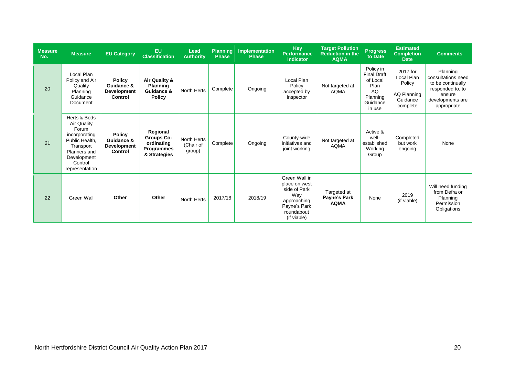| <b>Measure</b><br>No. | <b>Measure</b>                                                                                                                                   | <b>EU Category</b>                                           | <b>EU</b><br><b>Classification</b>                                        | Lead<br><b>Authority</b>           | <b>Planning</b><br><b>Phase</b> | Implementation<br><b>Phase</b> | <b>Key</b><br><b>Performance</b><br><b>Indicator</b>                                                              | <b>Target Pollution</b><br><b>Reduction in the</b><br><b>AQMA</b> | <b>Progress</b><br>to Date                                                                  | <b>Estimated</b><br><b>Completion</b><br><b>Date</b>                    | <b>Comments</b>                                                                                                      |
|-----------------------|--------------------------------------------------------------------------------------------------------------------------------------------------|--------------------------------------------------------------|---------------------------------------------------------------------------|------------------------------------|---------------------------------|--------------------------------|-------------------------------------------------------------------------------------------------------------------|-------------------------------------------------------------------|---------------------------------------------------------------------------------------------|-------------------------------------------------------------------------|----------------------------------------------------------------------------------------------------------------------|
| 20                    | Local Plan<br>Policy and Air<br>Quality<br>Planning<br>Guidance<br>Document                                                                      | <b>Policy</b><br>Guidance &<br><b>Development</b><br>Control | Air Quality &<br><b>Planning</b><br>Guidance &<br><b>Policy</b>           | North Herts                        | Complete                        | Ongoing                        | Local Plan<br>Policy<br>accepted by<br>Inspector                                                                  | Not targeted at<br><b>AOMA</b>                                    | Policy in<br><b>Final Draft</b><br>of Local<br>Plan<br>AQ<br>Planning<br>Guidance<br>in use | 2017 for<br>Local Plan<br>Policy<br>AQ Planning<br>Guidance<br>complete | Planning<br>consultations need<br>to be continually<br>responded to, to<br>ensure<br>developments are<br>appropriate |
| 21                    | Herts & Beds<br>Air Quality<br>Forum<br>incorporating<br>Public Health.<br>Transport<br>Planners and<br>Development<br>Control<br>representation | <b>Policy</b><br>Guidance &<br><b>Development</b><br>Control | Regional<br><b>Groups Co-</b><br>ordinating<br>Programmes<br>& Strategies | North Herts<br>(Chair of<br>group) | Complete <sup>1</sup>           | Ongoing                        | County-wide<br>initiatives and<br>joint working                                                                   | Not targeted at<br><b>AQMA</b>                                    | Active &<br>well-<br>established<br>Working<br>Group                                        | Completed<br>but work<br>ongoing                                        | None                                                                                                                 |
| 22                    | Green Wall                                                                                                                                       | Other                                                        | Other                                                                     | North Herts                        | 2017/18                         | 2018/19                        | Green Wall in<br>place on west<br>side of Park<br>Way<br>approaching<br>Payne's Park<br>roundabout<br>(if viable) | Targeted at<br>Payne's Park<br><b>AQMA</b>                        | None                                                                                        | 2019<br>(if viable)                                                     | Will need funding<br>from Defra or<br>Planning<br>Permission<br>Obligations                                          |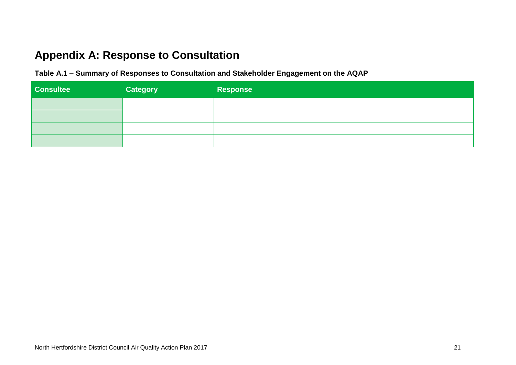## **Appendix A: Response to Consultation**

**Table A.1 ‒ Summary of Responses to Consultation and Stakeholder Engagement on the AQAP**

| <b>Consultee</b> | <b>Category</b> | Response |
|------------------|-----------------|----------|
|                  |                 |          |
|                  |                 |          |
|                  |                 |          |
|                  |                 |          |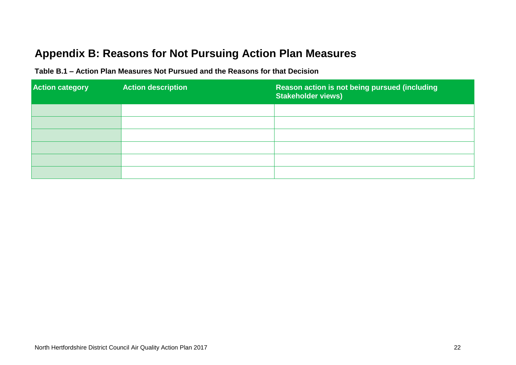## **Appendix B: Reasons for Not Pursuing Action Plan Measures**

| <b>Action category</b> | <b>Action description</b> | Reason action is not being pursued (including<br><b>Stakeholder views)</b> |
|------------------------|---------------------------|----------------------------------------------------------------------------|
|                        |                           |                                                                            |
|                        |                           |                                                                            |
|                        |                           |                                                                            |
|                        |                           |                                                                            |
|                        |                           |                                                                            |
|                        |                           |                                                                            |

**Table B.1 ‒ Action Plan Measures Not Pursued and the Reasons for that Decision**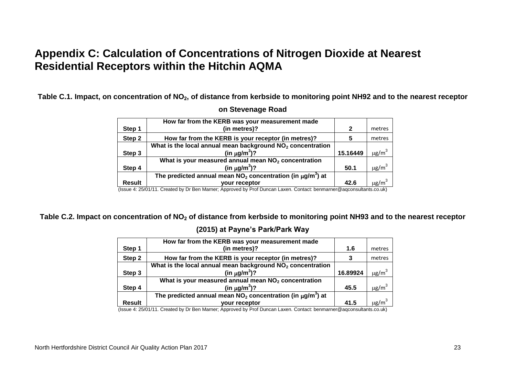## **Appendix C: Calculation of Concentrations of Nitrogen Dioxide at Nearest Residential Receptors within the Hitchin AQMA**

**Table C.1. Impact, on concentration of NO2, of distance from kerbside to monitoring point NH92 and to the nearest receptor** 

|               | How far from the KERB was your measurement made                               |          |                        |
|---------------|-------------------------------------------------------------------------------|----------|------------------------|
| Step 1        | (in metres)?                                                                  | 2        | metres                 |
| Step 2        | How far from the KERB is your receptor (in metres)?                           | 5        | metres                 |
|               | What is the local annual mean background NO <sub>2</sub> concentration        |          |                        |
| Step 3        | (in $\mu$ g/m <sup>3</sup> )?                                                 | 15.16449 | $\mu$ g/m <sup>3</sup> |
|               | What is your measured annual mean NO <sub>2</sub> concentration               |          |                        |
| Step 4        | (in $\mu$ g/m <sup>3</sup> )?                                                 | 50.1     | $\mu$ g/m <sup>3</sup> |
|               | The predicted annual mean $NO2$ concentration (in $\mu$ g/m <sup>3</sup> ) at |          |                        |
| <b>Result</b> | vour receptor                                                                 | 42.6     | $\mu$ g/m <sup>3</sup> |

#### **on Stevenage Road**

(Issue 4: 25/01/11. Created by Dr Ben Marner; Approved by Prof Duncan Laxen. Contact: benmarner@aqconsultants.co.uk)

**Table C.2. Impact on concentration of NO<sup>2</sup> of distance from kerbside to monitoring point NH93 and to the nearest receptor** 

#### **(2015) at Payne's Park/Park Way**

|               | How far from the KERB was your measurement made                               |          |                        |
|---------------|-------------------------------------------------------------------------------|----------|------------------------|
| Step 1        | (in metres)?                                                                  | 1.6      | metres                 |
| Step 2        | How far from the KERB is your receptor (in metres)?                           |          | metres                 |
|               | What is the local annual mean background $NO2$ concentration                  |          |                        |
| Step 3        | (in $\mu$ g/m <sup>3</sup> )?                                                 | 16.89924 | $\mu$ g/m <sup>3</sup> |
|               | What is your measured annual mean NO <sub>2</sub> concentration               |          |                        |
| Step 4        | (in $\mu$ g/m <sup>3</sup> )?                                                 | 45.5     | $\mu$ g/m <sup>3</sup> |
|               | The predicted annual mean $NO2$ concentration (in $\mu$ g/m <sup>3</sup> ) at |          |                        |
| <b>Result</b> | vour receptor<br>.<br>$\sim$ $\sim$                                           | 41.5     | $\mu$ g/m $^3$         |

(Issue 4: 25/01/11. Created by Dr Ben Marner; Approved by Prof Duncan Laxen. Contact: benmarner@aqconsultants.co.uk)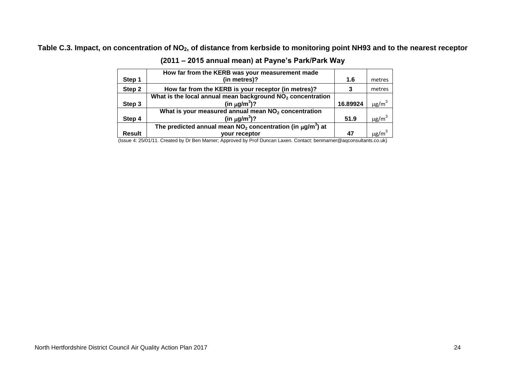### **Table C.3. Impact, on concentration of NO2, of distance from kerbside to monitoring point NH93 and to the nearest receptor**

|               | How far from the KERB was your measurement made                   |          |                        |
|---------------|-------------------------------------------------------------------|----------|------------------------|
| Step 1        | (in metres)?                                                      | 1.6      | metres                 |
| Step 2        | How far from the KERB is your receptor (in metres)?               |          | metres                 |
|               | What is the local annual mean background $NO2$ concentration      |          |                        |
| Step 3        | (in $\mu$ g/m <sup>3</sup> )?                                     | 16.89924 | $\mu$ g/m <sup>3</sup> |
|               | What is your measured annual mean $NO2$ concentration             |          |                        |
| Step 4        | (in $\mu$ g/m <sup>3</sup> )?                                     | 51.9     | $\mu$ g/m <sup>3</sup> |
|               | The predicted annual mean $NO2$ concentration (in $\mu q/m3$ ) at |          |                        |
| <b>Result</b> | vour receptor                                                     | 47       | $\mu$ g/m <sup>3</sup> |

(Issue 4: 25/01/11. Created by Dr Ben Marner; Approved by Prof Duncan Laxen. Contact: benmarner@aqconsultants.co.uk)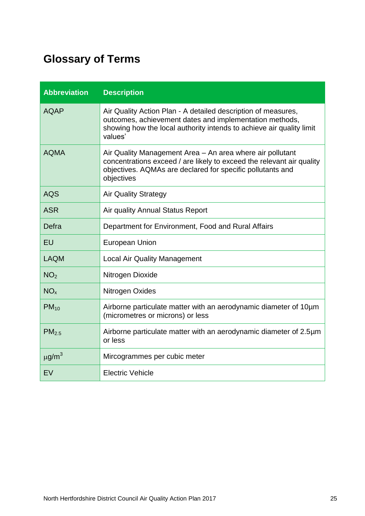# **Glossary of Terms**

| <b>Abbreviation</b> | <b>Description</b>                                                                                                                                                                                             |
|---------------------|----------------------------------------------------------------------------------------------------------------------------------------------------------------------------------------------------------------|
| <b>AQAP</b>         | Air Quality Action Plan - A detailed description of measures,<br>outcomes, achievement dates and implementation methods,<br>showing how the local authority intends to achieve air quality limit<br>values'    |
| <b>AQMA</b>         | Air Quality Management Area – An area where air pollutant<br>concentrations exceed / are likely to exceed the relevant air quality<br>objectives. AQMAs are declared for specific pollutants and<br>objectives |
| <b>AQS</b>          | <b>Air Quality Strategy</b>                                                                                                                                                                                    |
| <b>ASR</b>          | Air quality Annual Status Report                                                                                                                                                                               |
| Defra               | Department for Environment, Food and Rural Affairs                                                                                                                                                             |
| EU                  | <b>European Union</b>                                                                                                                                                                                          |
| <b>LAQM</b>         | <b>Local Air Quality Management</b>                                                                                                                                                                            |
| NO <sub>2</sub>     | Nitrogen Dioxide                                                                                                                                                                                               |
| NO <sub>x</sub>     | Nitrogen Oxides                                                                                                                                                                                                |
| $PM_{10}$           | Airborne particulate matter with an aerodynamic diameter of 10µm<br>(micrometres or microns) or less                                                                                                           |
| PM <sub>2.5</sub>   | Airborne particulate matter with an aerodynamic diameter of 2.5µm<br>or less                                                                                                                                   |
| $\mu$ g/m $^3$      | Mircogrammes per cubic meter                                                                                                                                                                                   |
| EV                  | <b>Electric Vehicle</b>                                                                                                                                                                                        |